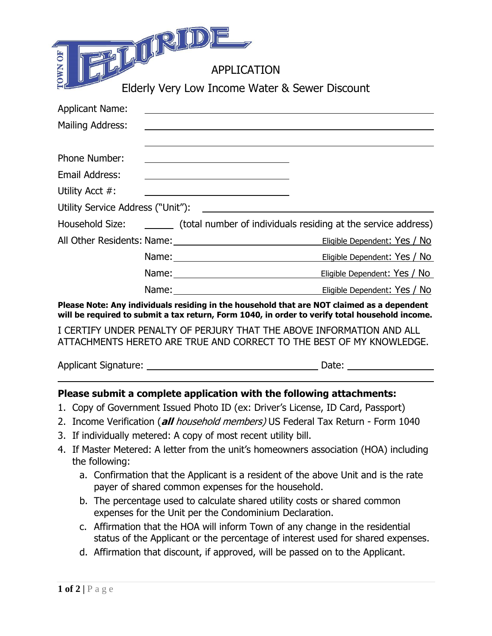| BT U RIULE                                                                                                                                                                                   |                                                                                                                                                                                                                                     |  |  |  |  |
|----------------------------------------------------------------------------------------------------------------------------------------------------------------------------------------------|-------------------------------------------------------------------------------------------------------------------------------------------------------------------------------------------------------------------------------------|--|--|--|--|
| <b>OWN OF</b>                                                                                                                                                                                | <b>APPLICATION</b>                                                                                                                                                                                                                  |  |  |  |  |
|                                                                                                                                                                                              | Elderly Very Low Income Water & Sewer Discount                                                                                                                                                                                      |  |  |  |  |
| <b>Applicant Name:</b>                                                                                                                                                                       | <u> 1989 - Johann Stoff, deutscher Stoffen und der Stoffen und der Stoffen und der Stoffen und der Stoffen und der</u>                                                                                                              |  |  |  |  |
| Mailing Address:                                                                                                                                                                             |                                                                                                                                                                                                                                     |  |  |  |  |
| Phone Number:                                                                                                                                                                                | ,我们也不会有什么。""我们的人,我们也不会有什么?""我们的人,我们也不会有什么?""我们的人,我们也不会有什么?""我们的人,我们也不会有什么?""我们的人                                                                                                                                                    |  |  |  |  |
| Email Address:                                                                                                                                                                               | <u> 1989 - Johann Barbara, martin amerikan basar dan basa dan basa dan basa dan basa dan basa dan basa dan basa</u>                                                                                                                 |  |  |  |  |
| Utility Acct #:                                                                                                                                                                              |                                                                                                                                                                                                                                     |  |  |  |  |
|                                                                                                                                                                                              |                                                                                                                                                                                                                                     |  |  |  |  |
|                                                                                                                                                                                              | Household Size: (total number of individuals residing at the service address)                                                                                                                                                       |  |  |  |  |
|                                                                                                                                                                                              |                                                                                                                                                                                                                                     |  |  |  |  |
|                                                                                                                                                                                              | Name: <u>Name:</u> Name: Name: Name: Name: New York Note of the Manual Assembly not the Manual Assembly not the Manual Assembly not the Manual Assembly not the Manual Assembly not the Manual Assembly not the Manual Assembly not |  |  |  |  |
|                                                                                                                                                                                              | <u>Eligible Dependent: Yes / No.</u>                                                                                                                                                                                                |  |  |  |  |
|                                                                                                                                                                                              | Name: Name: Name: Name: Name: Name: New York Note: Note: Note: Note: Note: Note: Note: Note: Note: No                                                                                                                               |  |  |  |  |
| Please Note: Any individuals residing in the household that are NOT claimed as a dependent<br>will be required to submit a tax return, Form 1040, in order to verify total household income. |                                                                                                                                                                                                                                     |  |  |  |  |
|                                                                                                                                                                                              | I CERTIFY UNDER PENALTY OF PERJURY THAT THE ABOVE INFORMATION AND ALL<br>ATTACHMENTS HERETO ARE TRUE AND CORRECT TO THE BEST OF MY KNOWLEDGE.                                                                                       |  |  |  |  |

 $=$   $=$ 

Applicant Signature: <u>Date: Date: Date: Date: Date: Date: Date: Date: Date: Date: Date: Date: Date: Date: Date: Date: Date: Date: Date: Date: Date: Date: Date: Date: Date: Date: Date: Date: Date: Date: Date: Date: Date: Da</u>

## **Please submit a complete application with the following attachments:**

- 1. Copy of Government Issued Photo ID (ex: Driver's License, ID Card, Passport)
- 2. Income Verification (**all** household members) US Federal Tax Return Form 1040
- 3. If individually metered: A copy of most recent utility bill.
- 4. If Master Metered: A letter from the unit's homeowners association (HOA) including the following:
	- a. Confirmation that the Applicant is a resident of the above Unit and is the rate payer of shared common expenses for the household.
	- b. The percentage used to calculate shared utility costs or shared common expenses for the Unit per the Condominium Declaration.
	- c. Affirmation that the HOA will inform Town of any change in the residential status of the Applicant or the percentage of interest used for shared expenses.
	- d. Affirmation that discount, if approved, will be passed on to the Applicant.